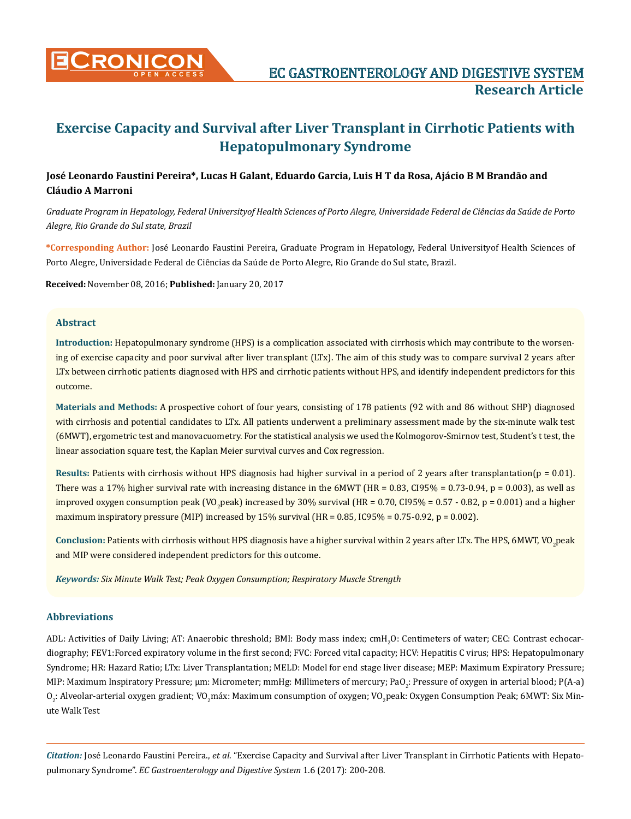

# **José Leonardo Faustini Pereira\*, Lucas H Galant, Eduardo Garcia, Luis H T da Rosa, Ajácio B M Brandão and Cláudio A Marroni**

*Graduate Program in Hepatology, Federal Universityof Health Sciences of Porto Alegre, Universidade Federal de Ciências da Saúde de Porto Alegre, Rio Grande do Sul state, Brazil*

**\*Corresponding Author:** José Leonardo Faustini Pereira, Graduate Program in Hepatology, Federal Universityof Health Sciences of Porto Alegre, Universidade Federal de Ciências da Saúde de Porto Alegre, Rio Grande do Sul state, Brazil.

**Received:** November 08, 2016; **Published:** January 20, 2017

# **Abstract**

**Introduction:** Hepatopulmonary syndrome (HPS) is a complication associated with cirrhosis which may contribute to the worsening of exercise capacity and poor survival after liver transplant (LTx). The aim of this study was to compare survival 2 years after LTx between cirrhotic patients diagnosed with HPS and cirrhotic patients without HPS, and identify independent predictors for this outcome.

**Materials and Methods:** A prospective cohort of four years, consisting of 178 patients (92 with and 86 without SHP) diagnosed with cirrhosis and potential candidates to LTx. All patients underwent a preliminary assessment made by the six-minute walk test (6MWT), ergometric test and manovacuometry. For the statistical analysis we used the Kolmogorov-Smirnov test, Student's t test, the linear association square test, the Kaplan Meier survival curves and Cox regression.

**Results: Patients with cirrhosis without HPS diagnosis had higher survival in a period of 2 years after transplantation(** $p = 0.01$ **).** There was a 17% higher survival rate with increasing distance in the 6MWT (HR = 0.83, CI95% = 0.73-0.94, p = 0.003), as well as improved oxygen consumption peak (VO<sub>2</sub>peak) increased by 30% survival (HR = 0.70, Cl95% = 0.57 - 0.82, p = 0.001) and a higher maximum inspiratory pressure (MIP) increased by  $15\%$  survival (HR = 0.85, IC95% = 0.75-0.92, p = 0.002).

C<mark>onclusion: Patients</mark> with cirrhosis without HPS diagnosis have a higher survival within 2 years after LTx. The HPS, 6MWT, VO<sub>2</sub>peak and MIP were considered independent predictors for this outcome.

*Keywords: Six Minute Walk Test; Peak Oxygen Consumption; Respiratory Muscle Strength*

# **Abbreviations**

ADL: Activities of Daily Living; AT: Anaerobic threshold; BMI: Body mass index; cmH<sub>2</sub>O: Centimeters of water; CEC: Contrast echocardiography; FEV1:Forced expiratory volume in the first second; FVC: Forced vital capacity; HCV: Hepatitis C virus; HPS: Hepatopulmonary Syndrome; HR: Hazard Ratio; LTx: Liver Transplantation; MELD: Model for end stage liver disease; MEP: Maximum Expiratory Pressure; MIP: Maximum Inspiratory Pressure; µm: Micrometer; mmHg: Millimeters of mercury; PaO $_2$ : Pressure of oxygen in arterial blood; P(A-a)  $\rm O_2$ : Alveolar-arterial oxygen gradient; VO<sub>2</sub>máx: Maximum consumption of oxygen; VO<sub>2</sub>peak: Oxygen Consumption Peak; 6MWT: Six Minute Walk Test

*Citation:* José Leonardo Faustini Pereira., *et al*. "Exercise Capacity and Survival after Liver Transplant in Cirrhotic Patients with Hepatopulmonary Syndrome". *EC Gastroenterology and Digestive System* 1.6 (2017): 200-208.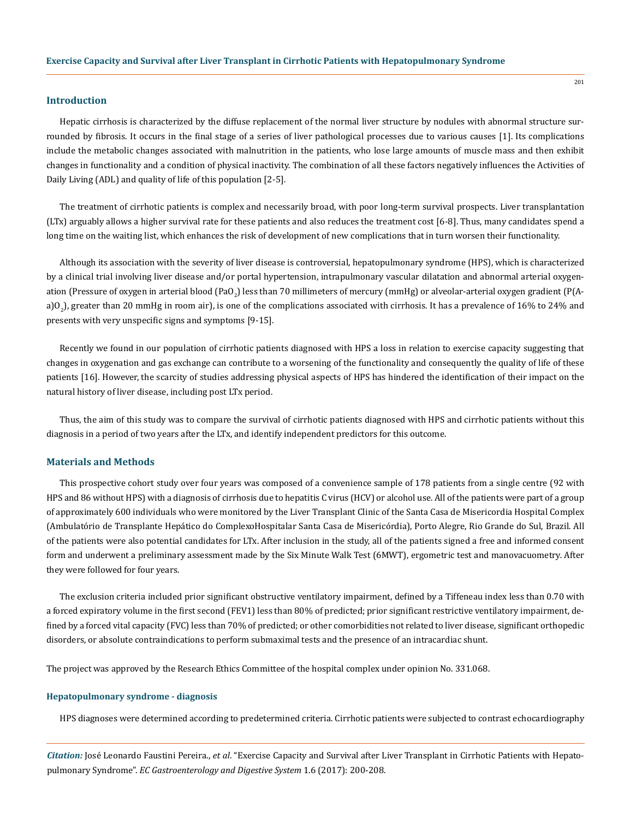### **Introduction**

Hepatic cirrhosis is characterized by the diffuse replacement of the normal liver structure by nodules with abnormal structure surrounded by fibrosis. It occurs in the final stage of a series of liver pathological processes due to various causes [1]. Its complications include the metabolic changes associated with malnutrition in the patients, who lose large amounts of muscle mass and then exhibit changes in functionality and a condition of physical inactivity. The combination of all these factors negatively influences the Activities of Daily Living (ADL) and quality of life of this population [2-5].

The treatment of cirrhotic patients is complex and necessarily broad, with poor long-term survival prospects. Liver transplantation (LTx) arguably allows a higher survival rate for these patients and also reduces the treatment cost [6-8]. Thus, many candidates spend a long time on the waiting list, which enhances the risk of development of new complications that in turn worsen their functionality.

Although its association with the severity of liver disease is controversial, hepatopulmonary syndrome (HPS), which is characterized by a clinical trial involving liver disease and/or portal hypertension, intrapulmonary vascular dilatation and abnormal arterial oxygenation (Pressure of oxygen in arterial blood (PaO<sub>2</sub>) less than 70 millimeters of mercury (mmHg) or alveolar-arterial oxygen gradient (P(Aa)O2 ), greater than 20 mmHg in room air), is one of the complications associated with cirrhosis. It has a prevalence of 16% to 24% and presents with very unspecific signs and symptoms [9-15].

Recently we found in our population of cirrhotic patients diagnosed with HPS a loss in relation to exercise capacity suggesting that changes in oxygenation and gas exchange can contribute to a worsening of the functionality and consequently the quality of life of these patients [16]. However, the scarcity of studies addressing physical aspects of HPS has hindered the identification of their impact on the natural history of liver disease, including post LTx period.

Thus, the aim of this study was to compare the survival of cirrhotic patients diagnosed with HPS and cirrhotic patients without this diagnosis in a period of two years after the LTx, and identify independent predictors for this outcome.

# **Materials and Methods**

This prospective cohort study over four years was composed of a convenience sample of 178 patients from a single centre (92 with HPS and 86 without HPS) with a diagnosis of cirrhosis due to hepatitis C virus (HCV) or alcohol use. All of the patients were part of a group of approximately 600 individuals who were monitored by the Liver Transplant Clinic of the Santa Casa de Misericordia Hospital Complex (Ambulatório de Transplante Hepático do ComplexoHospitalar Santa Casa de Misericórdia), Porto Alegre, Rio Grande do Sul, Brazil. All of the patients were also potential candidates for LTx. After inclusion in the study, all of the patients signed a free and informed consent form and underwent a preliminary assessment made by the Six Minute Walk Test (6MWT), ergometric test and manovacuometry. After they were followed for four years.

The exclusion criteria included prior significant obstructive ventilatory impairment, defined by a Tiffeneau index less than 0.70 with a forced expiratory volume in the first second (FEV1) less than 80% of predicted; prior significant restrictive ventilatory impairment, defined by a forced vital capacity (FVC) less than 70% of predicted; or other comorbidities not related to liver disease, significant orthopedic disorders, or absolute contraindications to perform submaximal tests and the presence of an intracardiac shunt.

The project was approved by the Research Ethics Committee of the hospital complex under opinion No. 331.068.

### **Hepatopulmonary syndrome - diagnosis**

HPS diagnoses were determined according to predetermined criteria. Cirrhotic patients were subjected to contrast echocardiography

*Citation:* José Leonardo Faustini Pereira., *et al*. "Exercise Capacity and Survival after Liver Transplant in Cirrhotic Patients with Hepatopulmonary Syndrome". *EC Gastroenterology and Digestive System* 1.6 (2017): 200-208.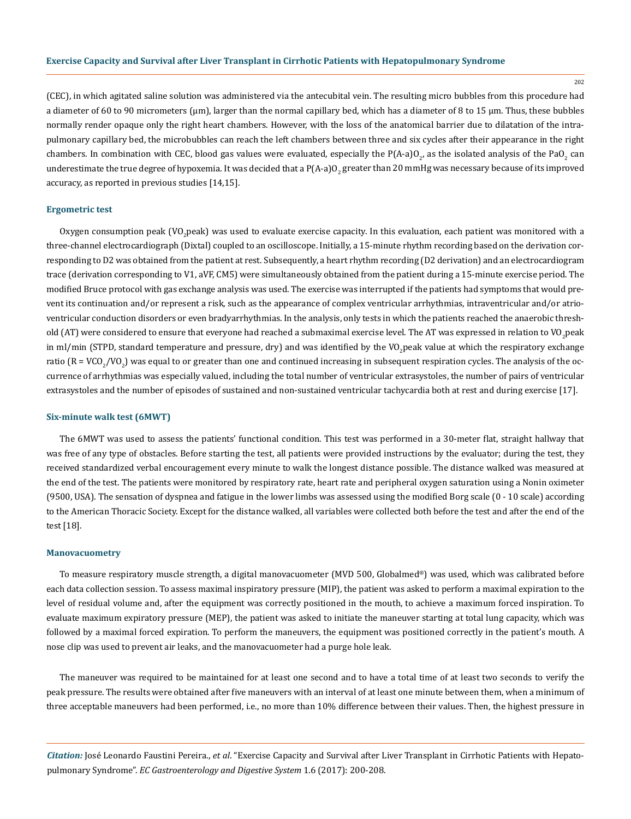202

(CEC), in which agitated saline solution was administered via the antecubital vein. The resulting micro bubbles from this procedure had a diameter of 60 to 90 micrometers (µm), larger than the normal capillary bed, which has a diameter of 8 to 15 μm. Thus, these bubbles normally render opaque only the right heart chambers. However, with the loss of the anatomical barrier due to dilatation of the intrapulmonary capillary bed, the microbubbles can reach the left chambers between three and six cycles after their appearance in the right chambers. In combination with CEC, blood gas values were evaluated, especially the P(A-a)O<sub>2</sub>, as the isolated analysis of the PaO<sub>2</sub> can underestimate the true degree of hypoxemia. It was decided that a P(A-a)O<sub>2</sub> greater than 20 mmHg was necessary because of its improved accuracy, as reported in previous studies [14,15].

### **Ergometric test**

Oxygen consumption peak (VO<sub>2</sub>peak) was used to evaluate exercise capacity. In this evaluation, each patient was monitored with a three-channel electrocardiograph (Dixtal) coupled to an oscilloscope. Initially, a 15-minute rhythm recording based on the derivation corresponding to D2 was obtained from the patient at rest. Subsequently, a heart rhythm recording (D2 derivation) and an electrocardiogram trace (derivation corresponding to V1, aVF, CM5) were simultaneously obtained from the patient during a 15-minute exercise period. The modified Bruce protocol with gas exchange analysis was used. The exercise was interrupted if the patients had symptoms that would prevent its continuation and/or represent a risk, such as the appearance of complex ventricular arrhythmias, intraventricular and/or atrioventricular conduction disorders or even bradyarrhythmias. In the analysis, only tests in which the patients reached the anaerobic threshold (AT) were considered to ensure that everyone had reached a submaximal exercise level. The AT was expressed in relation to VO<sub>2</sub>peak in ml/min (STPD, standard temperature and pressure, dry) and was identified by the VO<sub>2</sub>peak value at which the respiratory exchange ratio ( $R = VCO_2/VO_2$ ) was equal to or greater than one and continued increasing in subsequent respiration cycles. The analysis of the occurrence of arrhythmias was especially valued, including the total number of ventricular extrasystoles, the number of pairs of ventricular extrasystoles and the number of episodes of sustained and non-sustained ventricular tachycardia both at rest and during exercise [17].

#### **Six-minute walk test (6MWT)**

The 6MWT was used to assess the patients' functional condition. This test was performed in a 30-meter flat, straight hallway that was free of any type of obstacles. Before starting the test, all patients were provided instructions by the evaluator; during the test, they received standardized verbal encouragement every minute to walk the longest distance possible. The distance walked was measured at the end of the test. The patients were monitored by respiratory rate, heart rate and peripheral oxygen saturation using a Nonin oximeter (9500, USA). The sensation of dyspnea and fatigue in the lower limbs was assessed using the modified Borg scale (0 - 10 scale) according to the American Thoracic Society. Except for the distance walked, all variables were collected both before the test and after the end of the test [18].

#### **Manovacuometry**

To measure respiratory muscle strength, a digital manovacuometer (MVD 500, Globalmed®) was used, which was calibrated before each data collection session. To assess maximal inspiratory pressure (MIP), the patient was asked to perform a maximal expiration to the level of residual volume and, after the equipment was correctly positioned in the mouth, to achieve a maximum forced inspiration. To evaluate maximum expiratory pressure (MEP), the patient was asked to initiate the maneuver starting at total lung capacity, which was followed by a maximal forced expiration. To perform the maneuvers, the equipment was positioned correctly in the patient's mouth. A nose clip was used to prevent air leaks, and the manovacuometer had a purge hole leak.

The maneuver was required to be maintained for at least one second and to have a total time of at least two seconds to verify the peak pressure. The results were obtained after five maneuvers with an interval of at least one minute between them, when a minimum of three acceptable maneuvers had been performed, i.e., no more than 10% difference between their values. Then, the highest pressure in

*Citation:* José Leonardo Faustini Pereira., *et al*. "Exercise Capacity and Survival after Liver Transplant in Cirrhotic Patients with Hepatopulmonary Syndrome". *EC Gastroenterology and Digestive System* 1.6 (2017): 200-208.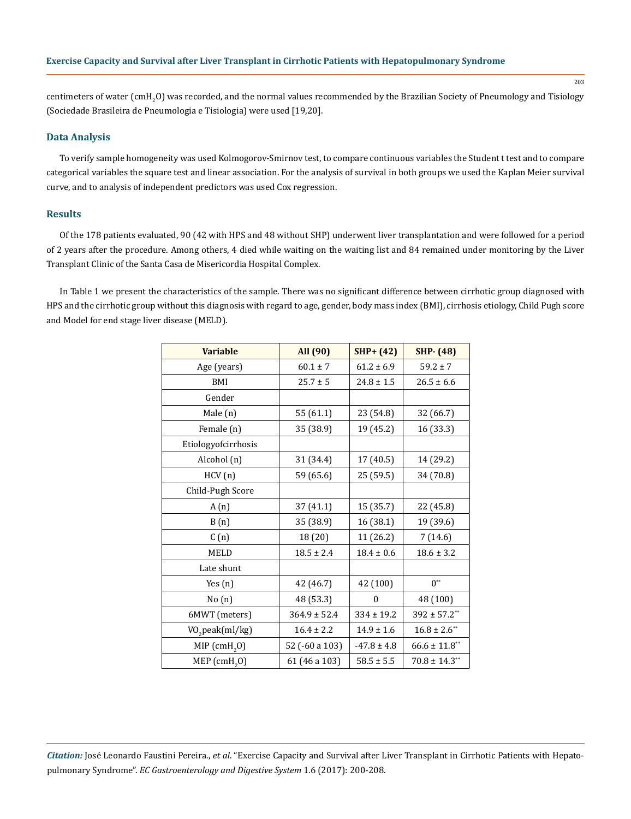centimeters of water (cmH<sub>2</sub>O) was recorded, and the normal values recommended by the Brazilian Society of Pneumology and Tisiology (Sociedade Brasileira de Pneumologia e Tisiologia) were used [19,20].

## **Data Analysis**

To verify sample homogeneity was used Kolmogorov-Smirnov test, to compare continuous variables the Student t test and to compare categorical variables the square test and linear association. For the analysis of survival in both groups we used the Kaplan Meier survival curve, and to analysis of independent predictors was used Cox regression.

# **Results**

Of the 178 patients evaluated, 90 (42 with HPS and 48 without SHP) underwent liver transplantation and were followed for a period of 2 years after the procedure. Among others, 4 died while waiting on the waiting list and 84 remained under monitoring by the Liver Transplant Clinic of the Santa Casa de Misericordia Hospital Complex.

In Table 1 we present the characteristics of the sample. There was no significant difference between cirrhotic group diagnosed with HPS and the cirrhotic group without this diagnosis with regard to age, gender, body mass index (BMI), cirrhosis etiology, Child Pugh score and Model for end stage liver disease (MELD).

| <b>Variable</b>             | All (90)         | $SHP+ (42)$     | <b>SHP-</b> (48)    |  |
|-----------------------------|------------------|-----------------|---------------------|--|
| Age (years)                 | $60.1 \pm 7$     | $61.2 \pm 6.9$  | $59.2 \pm 7$        |  |
| BMI                         | $25.7 \pm 5$     | $24.8 \pm 1.5$  | $26.5 \pm 6.6$      |  |
| Gender                      |                  |                 |                     |  |
| Male (n)                    | 55 (61.1)        | 23 (54.8)       | 32 (66.7)           |  |
| Female (n)                  | 35 (38.9)        | 19 (45.2)       | 16 (33.3)           |  |
| Etiologyofcirrhosis         |                  |                 |                     |  |
| Alcohol (n)                 | 31 (34.4)        | 17 (40.5)       | 14 (29.2)           |  |
| HCV(n)                      | 59 (65.6)        | 25 (59.5)       | 34 (70.8)           |  |
| Child-Pugh Score            |                  |                 |                     |  |
| A(n)                        | 37 (41.1)        | 15 (35.7)       | 22 (45.8)           |  |
| B(n)                        | 35 (38.9)        | 16 (38.1)       | 19 (39.6)           |  |
| C(n)                        | 18 (20)          | 11 (26.2)       | 7(14.6)             |  |
| <b>MELD</b>                 | $18.5 \pm 2.4$   | $18.4 \pm 0.6$  | $18.6 \pm 3.2$      |  |
| Late shunt                  |                  |                 |                     |  |
| Yes $(n)$                   | 42 (46.7)        | 42 (100)        | $0^{**}$            |  |
| No(n)                       | 48 (53.3)        | $\theta$        | 48 (100)            |  |
| 6MWT (meters)               | $364.9 \pm 52.4$ | $334 \pm 19.2$  | $392 \pm 57.2^{**}$ |  |
| VO <sub>2</sub> peak(ml/kg) | $16.4 \pm 2.2$   | $14.9 \pm 1.6$  | $16.8 \pm 2.6$ **   |  |
| $MIP$ (cmH <sub>2</sub> O)  | 52 (-60 a 103)   | $-47.8 \pm 4.8$ | $66.6 \pm 11.8$ **  |  |
| $MEP$ (cmH <sub>2</sub> O)  | 61 (46 a 103)    | $58.5 \pm 5.5$  | $70.8 \pm 14.3**$   |  |

*Citation:* José Leonardo Faustini Pereira., *et al*. "Exercise Capacity and Survival after Liver Transplant in Cirrhotic Patients with Hepatopulmonary Syndrome". *EC Gastroenterology and Digestive System* 1.6 (2017): 200-208.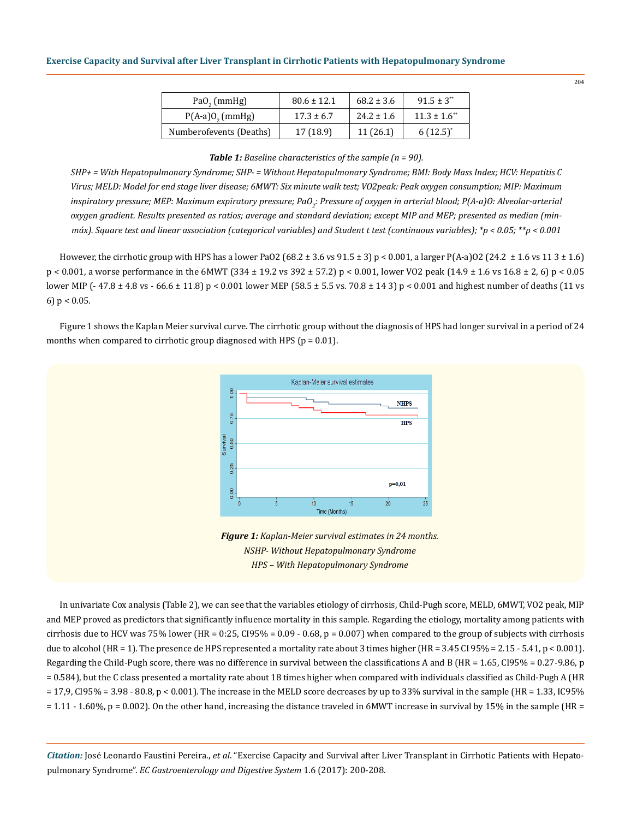| PaO, (mmHg)                   | $80.6 \pm 12.1$ | $68.2 \pm 3.6$ | $91.5 \pm 3^{**}$            |
|-------------------------------|-----------------|----------------|------------------------------|
| $P(A-a)0$ <sub>2</sub> (mmHg) | $17.3 \pm 6.7$  | $24.2 \pm 1.6$ | $11.3 \pm 1.6$ <sup>**</sup> |
| Numberofevents (Deaths)       | 17 (18.9)       | 11(26.1)       | $6(12.5)^{*}$                |

#### *Table 1: Baseline characteristics of the sample (n = 90).*

*SHP+ = With Hepatopulmonary Syndrome; SHP- = Without Hepatopulmonary Syndrome; BMI: Body Mass Index; HCV: Hepatitis C Virus; MELD: Model for end stage liver disease; 6MWT: Six minute walk test; VO2peak: Peak oxygen consumption; MIP: Maximum*  inspiratory pressure; MEP: Maximum expiratory pressure; PaO<sub>2</sub>: Pressure of oxygen in arterial blood; P(A-a)O: Alveolar-arterial *oxygen gradient. Results presented as ratios; average and standard deviation; except MIP and MEP; presented as median (minmáx). Square test and linear association (categorical variables) and Student t test (continuous variables); \*p < 0.05; \*\*p < 0.001*

However, the cirrhotic group with HPS has a lower PaO2 (68.2  $\pm$  3.6 vs 91.5  $\pm$  3) p < 0.001, a larger P(A-a)O2 (24.2  $\pm$  1.6 vs 11 3  $\pm$  1.6) p < 0.001, a worse performance in the 6MWT (334 ± 19.2 vs 392 ± 57.2) p < 0.001, lower VO2 peak (14.9 ± 1.6 vs 16.8 ± 2, 6) p < 0.05 lower MIP (- 47.8 ± 4.8 vs - 66.6 ± 11.8) p < 0.001 lower MEP (58.5 ± 5.5 vs. 70.8 ± 14 3) p < 0.001 and highest number of deaths (11 vs 6)  $p < 0.05$ .

Figure 1 shows the Kaplan Meier survival curve. The cirrhotic group without the diagnosis of HPS had longer survival in a period of 24 months when compared to cirrhotic group diagnosed with HPS ( $p = 0.01$ ).



*Figure 1: Kaplan-Meier survival estimates in 24 months. NSHP- Without Hepatopulmonary Syndrome HPS – With Hepatopulmonary Syndrome*

In univariate Cox analysis (Table 2), we can see that the variables etiology of cirrhosis, Child-Pugh score, MELD, 6MWT, VO2 peak, MIP and MEP proved as predictors that significantly influence mortality in this sample. Regarding the etiology, mortality among patients with cirrhosis due to HCV was 75% lower (HR = 0:25, CI95% = 0.09 - 0.68,  $p = 0.007$ ) when compared to the group of subjects with cirrhosis due to alcohol (HR = 1). The presence de HPS represented a mortality rate about 3 times higher (HR = 3.45 CI 95% = 2.15 - 5.41, p < 0.001). Regarding the Child-Pugh score, there was no difference in survival between the classifications A and B (HR = 1.65, CI95% = 0.27-9.86, p = 0.584), but the C class presented a mortality rate about 18 times higher when compared with individuals classified as Child-Pugh A (HR  $= 17,9$ , CI95%  $= 3.98 - 80.8$ ,  $p < 0.001$ ). The increase in the MELD score decreases by up to 33% survival in the sample (HR = 1.33, IC95%)  $= 1.11 - 1.60\%$ , p = 0.002). On the other hand, increasing the distance traveled in 6MWT increase in survival by 15% in the sample (HR =

*Citation:* José Leonardo Faustini Pereira., *et al*. "Exercise Capacity and Survival after Liver Transplant in Cirrhotic Patients with Hepatopulmonary Syndrome". *EC Gastroenterology and Digestive System* 1.6 (2017): 200-208.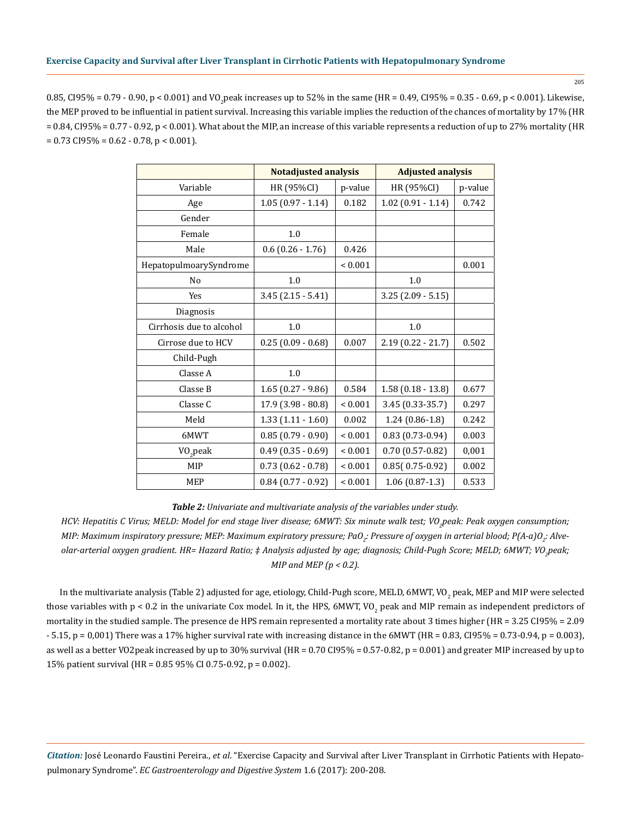205

0.85, Cl95% = 0.79 - 0.90, p < 0.001) and VO<sub>2</sub>peak increases up to 52% in the same (HR = 0.49, Cl95% = 0.35 - 0.69, p < 0.001). Likewise, the MEP proved to be influential in patient survival. Increasing this variable implies the reduction of the chances of mortality by 17% (HR  $= 0.84$ , CI95% = 0.77 - 0.92, p < 0.001). What about the MIP, an increase of this variable represents a reduction of up to 27% mortality (HR  $= 0.73 \text{ CI}95\% = 0.62 - 0.78, p < 0.001$ .

|                          | <b>Notadjusted analysis</b> |              | <b>Adjusted analysis</b> |         |
|--------------------------|-----------------------------|--------------|--------------------------|---------|
| Variable                 | HR (95%CI)                  | p-value      | HR (95%CI)               | p-value |
| Age                      | $1.05(0.97 - 1.14)$         | 0.182        | $1.02(0.91 - 1.14)$      | 0.742   |
| Gender                   |                             |              |                          |         |
| Female                   | 1.0                         |              |                          |         |
| Male                     | $0.6$ $(0.26 - 1.76)$       | 0.426        |                          |         |
| HepatopulmoarySyndrome   |                             | ${}< 0.001$  |                          | 0.001   |
| N <sub>o</sub>           | 1.0                         |              | 1.0                      |         |
| Yes                      | $3.45(2.15 - 5.41)$         |              | $3.25(2.09 - 5.15)$      |         |
| Diagnosis                |                             |              |                          |         |
| Cirrhosis due to alcohol | 1.0                         |              | 1.0                      |         |
| Cirrose due to HCV       | $0.25(0.09 - 0.68)$         | 0.007        | $2.19(0.22 - 21.7)$      | 0.502   |
| Child-Pugh               |                             |              |                          |         |
| Classe A                 | 1.0                         |              |                          |         |
| Classe B                 | $1.65(0.27 - 9.86)$         | 0.584        | $1.58(0.18 - 13.8)$      | 0.677   |
| Classe C                 | $17.9$ $(3.98 - 80.8)$      | ${}< 0.001$  | 3.45 (0.33-35.7)         | 0.297   |
| Meld                     | $1.33(1.11 - 1.60)$         | 0.002        | $1.24(0.86-1.8)$         | 0.242   |
| 6MWT                     | $0.85(0.79 - 0.90)$         | ${}< 0.001$  | $0.83(0.73-0.94)$        | 0.003   |
| VO <sub>2</sub> peak     | $0.49$ $(0.35 - 0.69)$      | ${}_{0.001}$ | $0.70(0.57-0.82)$        | 0,001   |
| MIP                      | $0.73(0.62 - 0.78)$         | ${}< 0.001$  | $0.85(0.75-0.92)$        | 0.002   |
| <b>MEP</b>               | $0.84$ (0.77 - 0.92)        | ${}< 0.001$  | $1.06(0.87-1.3)$         | 0.533   |

*Table 2: Univariate and multivariate analysis of the variables under study.* 

HCV: Hepatitis C Virus; MELD: Model for end stage liver disease; 6MWT: Six minute walk test; VO<sub>2</sub>peak: Peak oxygen consumption; MIP: Maximum inspiratory pressure; MEP: Maximum expiratory pressure; PaO<sub>2</sub>: Pressure of oxygen in arterial blood; P(A-a)O<sub>2</sub>: Alveolar-arterial oxygen gradient. HR= Hazard Ratio; ‡ Analysis adjusted by age; diagnosis; Child-Pugh Score; MELD; 6MWT; VO<sub>2</sub>peak; *MIP and MEP (p < 0.2).*

In the multivariate analysis (Table 2) adjusted for age, etiology, Child-Pugh score, MELD, 6MWT, VO<sub>2</sub> peak, MEP and MIP were selected those variables with p < 0.2 in the univariate Cox model. In it, the HPS, 6MWT, VO<sub>2</sub> peak and MIP remain as independent predictors of mortality in the studied sample. The presence de HPS remain represented a mortality rate about 3 times higher (HR = 3.25 CI95% = 2.09  $-5.15$ ,  $p = 0.001$ ) There was a 17% higher survival rate with increasing distance in the 6MWT (HR = 0.83, CI95% = 0.73-0.94,  $p = 0.003$ ), as well as a better VO2peak increased by up to 30% survival (HR = 0.70 CI95% = 0.57-0.82, p = 0.001) and greater MIP increased by up to 15% patient survival (HR = 0.85 95% CI 0.75-0.92, p = 0.002).

*Citation:* José Leonardo Faustini Pereira., *et al*. "Exercise Capacity and Survival after Liver Transplant in Cirrhotic Patients with Hepatopulmonary Syndrome". *EC Gastroenterology and Digestive System* 1.6 (2017): 200-208.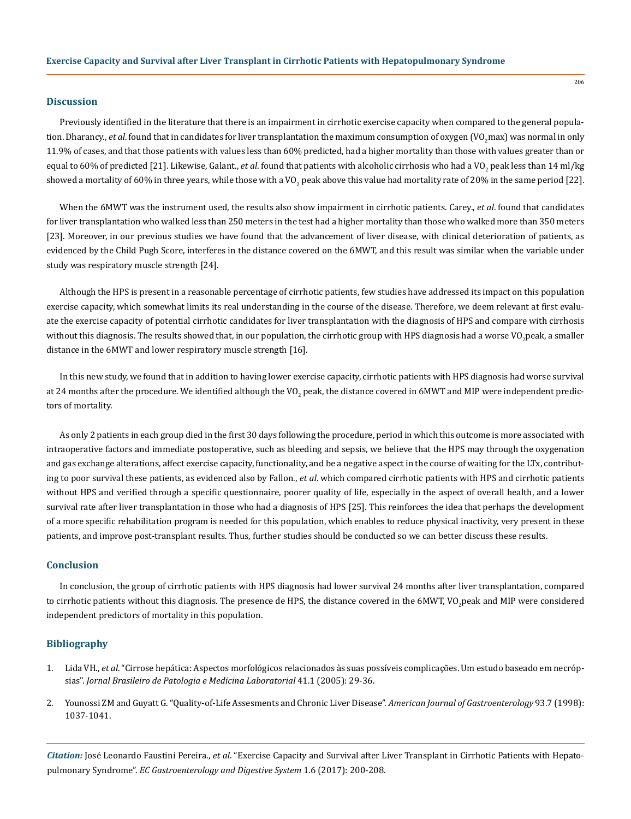### **Discussion**

Previously identified in the literature that there is an impairment in cirrhotic exercise capacity when compared to the general population. Dharancy., *et al*. found that in candidates for liver transplantation the maximum consumption of oxygen (VO<sub>2</sub>max) was normal in only 11.9% of cases, and that those patients with values less than 60% predicted, had a higher mortality than those with values greater than or equal to 60% of predicted [21]. Likewise, Galant., *et al*. found that patients with alcoholic cirrhosis who had a VO<sub>2</sub> peak less than 14 ml/kg showed a mortality of 60% in three years, while those with a VO<sub>2</sub> peak above this value had mortality rate of 20% in the same period [22].

When the 6MWT was the instrument used, the results also show impairment in cirrhotic patients. Carey., *et al*. found that candidates for liver transplantation who walked less than 250 meters in the test had a higher mortality than those who walked more than 350 meters [23]. Moreover, in our previous studies we have found that the advancement of liver disease, with clinical deterioration of patients, as evidenced by the Child Pugh Score, interferes in the distance covered on the 6MWT, and this result was similar when the variable under study was respiratory muscle strength [24].

Although the HPS is present in a reasonable percentage of cirrhotic patients, few studies have addressed its impact on this population exercise capacity, which somewhat limits its real understanding in the course of the disease. Therefore, we deem relevant at first evaluate the exercise capacity of potential cirrhotic candidates for liver transplantation with the diagnosis of HPS and compare with cirrhosis without this diagnosis. The results showed that, in our population, the cirrhotic group with HPS diagnosis had a worse VO<sub>2</sub>peak, a smaller distance in the 6MWT and lower respiratory muscle strength [16].

In this new study, we found that in addition to having lower exercise capacity, cirrhotic patients with HPS diagnosis had worse survival at 24 months after the procedure. We identified although the VO<sub>2</sub> peak, the distance covered in 6MWT and MIP were independent predictors of mortality.

As only 2 patients in each group died in the first 30 days following the procedure, period in which this outcome is more associated with intraoperative factors and immediate postoperative, such as bleeding and sepsis, we believe that the HPS may through the oxygenation and gas exchange alterations, affect exercise capacity, functionality, and be a negative aspect in the course of waiting for the LTx, contributing to poor survival these patients, as evidenced also by Fallon., *et al*. which compared cirrhotic patients with HPS and cirrhotic patients without HPS and verified through a specific questionnaire, poorer quality of life, especially in the aspect of overall health, and a lower survival rate after liver transplantation in those who had a diagnosis of HPS [25]. This reinforces the idea that perhaps the development of a more specific rehabilitation program is needed for this population, which enables to reduce physical inactivity, very present in these patients, and improve post-transplant results. Thus, further studies should be conducted so we can better discuss these results.

# **Conclusion**

In conclusion, the group of cirrhotic patients with HPS diagnosis had lower survival 24 months after liver transplantation, compared to cirrhotic patients without this diagnosis. The presence de HPS, the distance covered in the 6MWT, VO<sub>2</sub>peak and MIP were considered independent predictors of mortality in this population.

### **Bibliography**

- 1. Lida VH., *et al*[. "Cirrose hepática: Aspectos morfológicos relacionados às suas possíveis complicações. Um estudo baseado em necróp](http://www.scielo.br/scielo.php?script=sci_arttext&pid=S1676-24442005000100008)sias". *[Jornal Brasileiro de Patologia e Medicina Laboratorial](http://www.scielo.br/scielo.php?script=sci_arttext&pid=S1676-24442005000100008)* 41.1 (2005): 29-36.
- 2. [Younossi ZM and Guyatt G. "Quality-of-Life Assesments and Chronic Liver Disease".](https://www.ncbi.nlm.nih.gov/pubmed/9672326) *American Journal of Gastroenterology* 93.7 (1998): [1037-1041.](https://www.ncbi.nlm.nih.gov/pubmed/9672326)

*Citation:* José Leonardo Faustini Pereira., *et al*. "Exercise Capacity and Survival after Liver Transplant in Cirrhotic Patients with Hepatopulmonary Syndrome". *EC Gastroenterology and Digestive System* 1.6 (2017): 200-208.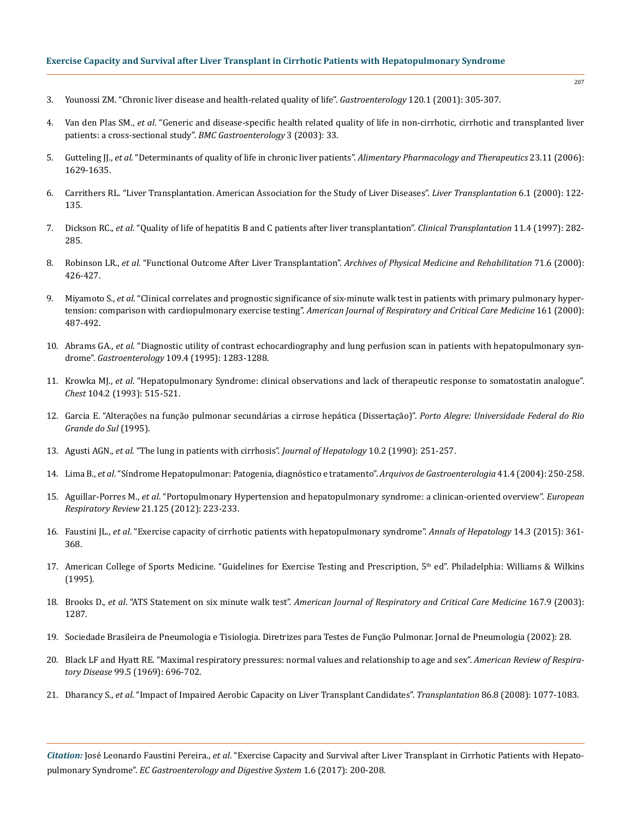- 3. [Younossi ZM. "Chronic liver disease and health-related quality of life".](https://www.researchgate.net/publication/12122085_Chronic_liver_disease_and_health-related_quality_of_life) *Gastroenterology* 120.1 (2001): 305-307.
- 4. Van den Plas SM., *et al*[. "Generic and disease-specific health related quality of life in non-cirrhotic, cirrhotic and transplanted liver](https://www.ncbi.nlm.nih.gov/pubmed/14617381) [patients: a cross-sectional study".](https://www.ncbi.nlm.nih.gov/pubmed/14617381) *BMC Gastroenterology* 3 (2003): 33.
- 5. Gutteling JJ., *et al*. "Determinants of quality of life in chronic liver patients". *[Alimentary Pharmacology and Therapeutics](https://www.ncbi.nlm.nih.gov/pubmed/16696813)* 23.11 (2006): [1629-1635.](https://www.ncbi.nlm.nih.gov/pubmed/16696813)
- 6. [Carrithers RL. "Liver Transplantation. American Association for the Study of Liver Diseases".](https://www.ncbi.nlm.nih.gov/pubmed/10648593) *Liver Transplantation* 6.1 (2000): 122- [135.](https://www.ncbi.nlm.nih.gov/pubmed/10648593)
- 7. Dickson RC., *et al*[. "Quality of life of hepatitis B and C patients after liver transplantation".](https://www.ncbi.nlm.nih.gov/pubmed/9267716) *Clinical Transplantation* 11.4 (1997): 282- [285.](https://www.ncbi.nlm.nih.gov/pubmed/9267716)
- 8. Robinson LR., *et al*[. "Functional Outcome After Liver Transplantation".](https://www.ncbi.nlm.nih.gov/pubmed/2334290) *Archives of Physical Medicine and Rehabilitation* 71.6 (2000): [426-427.](https://www.ncbi.nlm.nih.gov/pubmed/2334290)
- 9. Miyamoto S., *et al*[. "Clinical correlates and prognostic significance of six-minute walk test in patients with primary pulmonary hyper](https://www.ncbi.nlm.nih.gov/pubmed/10673190)tension: comparison with cardiopulmonary exercise testing". *[American Journal of Respiratory and Critical Care Medicine](https://www.ncbi.nlm.nih.gov/pubmed/10673190)* 161 (2000): [487-492.](https://www.ncbi.nlm.nih.gov/pubmed/10673190)
- 10. Abrams GA., *et al*[. "Diagnostic utility of contrast echocardiography and lung perfusion scan in patients with hepatopulmonary syn](https://www.ncbi.nlm.nih.gov/pubmed/7557096)drome". *Gastroenterology* [109.4 \(1995\): 1283-1288.](https://www.ncbi.nlm.nih.gov/pubmed/7557096)
- 11. Krowka MJ., *et al*[. "Hepatopulmonary Syndrome: clinical observations and lack of therapeutic response to somatostatin analogue".](https://www.ncbi.nlm.nih.gov/pubmed/8101797)  *Chest* [104.2 \(1993\): 515-521.](https://www.ncbi.nlm.nih.gov/pubmed/8101797)
- 12. [Garcia E. "Alterações na função pulmonar secundárias a cirrose hepática \(Dissertação\)".](https://www.lume.ufrgs.br/bitstream/handle/10183/30878/000172579.pdf?sequence=1) *Porto Alegre: Universidade Federal do Rio [Grande do Sul](https://www.lume.ufrgs.br/bitstream/handle/10183/30878/000172579.pdf?sequence=1)* (1995).
- 13. Agusti AGN., *et al*[. "The lung in patients with cirrhosis".](https://www.ncbi.nlm.nih.gov/pubmed/2185300) *Journal of Hepatology* 10.2 (1990): 251-257.
- 14. Lima B., *et al*[. "Síndrome Hepatopulmonar: Patogenia, diagnóstico e tratamento".](http://www.scielo.br/scielo.php?script=sci_arttext&pid=S0004-28032004000400010) *Arquivos de Gastroenterologia* 41.4 (2004): 250-258.
- 15. Aguillar-Porres M., *et al*[. "Portopulmonary Hypertension and hepatopulmonary syndrome: a clinican-oriented overview".](https://www.ncbi.nlm.nih.gov/pubmed/22941887) *European Respiratory Review* [21.125 \(2012\): 223-233.](https://www.ncbi.nlm.nih.gov/pubmed/22941887)
- 16. Faustini JL., *et al*[. "Exercise capacity of cirrhotic patients with hepatopulmonary syndrome".](https://www.ncbi.nlm.nih.gov/pubmed/25864217) *Annals of Hepatology* 14.3 (2015): 361- [368.](https://www.ncbi.nlm.nih.gov/pubmed/25864217)
- 17. American College of Sports Medicine. "Guidelines for Exercise Testing and Prescription, 5<sup>th</sup> ed". Philadelphia: Williams & Wilkins (1995).
- 18. Brooks D., *et al*. "ATS Statement on six minute walk test". *[American Journal of Respiratory and Critical Care Medicine](https://www.ncbi.nlm.nih.gov/pubmed/12714344)* 167.9 (2003): [1287.](https://www.ncbi.nlm.nih.gov/pubmed/12714344)
- 19. Sociedade Brasileira de Pneumologia e Tisiologia. Diretrizes para Testes de Função Pulmonar. Jornal de Pneumologia (2002): 28.
- 20. [Black LF and Hyatt RE. "Maximal respiratory pressures: normal values and relationship to age and sex".](http://www.atsjournals.org/doi/abs/10.1164/arrd.1969.99.5.696) *American Review of Respiratory Disease* [99.5 \(1969\): 696-702.](http://www.atsjournals.org/doi/abs/10.1164/arrd.1969.99.5.696)
- 21. Dharancy S., *et al*[. "Impact of Impaired Aerobic Capacity on Liver Transplant Candidates".](https://www.ncbi.nlm.nih.gov/pubmed/18946345) *Transplantation* 86.8 (2008): 1077-1083.

*Citation:* José Leonardo Faustini Pereira., *et al*. "Exercise Capacity and Survival after Liver Transplant in Cirrhotic Patients with Hepatopulmonary Syndrome". *EC Gastroenterology and Digestive System* 1.6 (2017): 200-208.